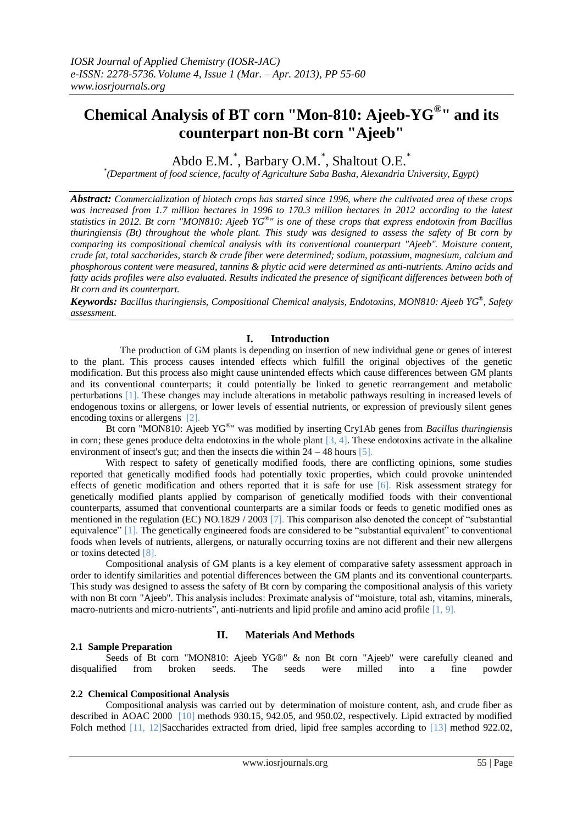# **Chemical Analysis of BT corn "Mon-810: Ajeeb-YG® " and its counterpart non-Bt corn "Ajeeb"**

Abdo E.M.<sup>\*</sup>, Barbary O.M.<sup>\*</sup>, Shaltout O.E.<sup>\*</sup>

*\* (Department of food science, faculty of Agriculture Saba Basha, Alexandria University, Egypt)*

*Abstract: Commercialization of biotech crops has started since 1996, where the cultivated area of these crops was increased from 1.7 million hectares in 1996 to 170.3 million hectares in 2012 according to the latest statistics in 2012. Bt corn "MON810: Ajeeb YG® " is one of these crops that express endotoxin from Bacillus thuringiensis (Bt) throughout the whole plant. This study was designed to assess the safety of Bt corn by comparing its compositional chemical analysis with its conventional counterpart "Ajeeb". Moisture content, crude fat, total saccharides, starch & crude fiber were determined; sodium, potassium, magnesium, calcium and phosphorous content were measured, tannins & phytic acid were determined as anti-nutrients. Amino acids and fatty acids profiles were also evaluated. Results indicated the presence of significant differences between both of Bt corn and its counterpart.*

*Keywords: Bacillus thuringiensis, Compositional Chemical analysis, Endotoxins, MON810: Ajeeb YG® , Safety assessment.*

### **I. Introduction**

 The production of GM plants is depending on insertion of new individual gene or genes of interest to the plant. This process causes intended effects which fulfill the original objectives of the genetic modification. But this process also might cause unintended effects which cause differences between GM plants and its conventional counterparts; it could potentially be linked to genetic rearrangement and metabolic perturbations [1]. These changes may include alterations in metabolic pathways resulting in increased levels of endogenous toxins or allergens, or lower levels of essential nutrients, or expression of previously silent genes encoding toxins or allergens [2].

Bt corn "MON810: Ajeeb YG® " was modified by inserting Cry1Ab genes from *Bacillus thuringiensis* in corn; these genes produce delta endotoxins in the whole plant  $[3, 4]$ . These endotoxins activate in the alkaline environment of insect's gut; and then the insects die within  $24 - 48$  hours [5].

With respect to safety of genetically modified foods, there are conflicting opinions, some studies reported that genetically modified foods had potentially toxic properties, which could provoke unintended effects of genetic modification and others reported that it is safe for use [6]. Risk assessment strategy for genetically modified plants applied by comparison of genetically modified foods with their conventional counterparts, assumed that conventional counterparts are a similar foods or feeds to genetic modified ones as mentioned in the regulation (EC) NO.1829 / 2003 [7]. This comparison also denoted the concept of "substantial equivalence" [1]. The genetically engineered foods are considered to be "substantial equivalent" to conventional foods when levels of nutrients, allergens, or naturally occurring toxins are not different and their new allergens or toxins detected [8].

Compositional analysis of GM plants is a key element of comparative safety assessment approach in order to identify similarities and potential differences between the GM plants and its conventional counterparts. This study was designed to assess the safety of Bt corn by comparing the compositional analysis of this variety with non Bt corn "Ajeeb". This analysis includes: Proximate analysis of "moisture, total ash, vitamins, minerals, macro-nutrients and micro-nutrients", anti-nutrients and lipid profile and amino acid profile [1, 9].

# **II. Materials And Methods**

#### **2.1 Sample Preparation**

Seeds of Bt corn "MON810: Ajeeb YG®" & non Bt corn "Ajeeb" were carefully cleaned and disqualified from broken seeds. The seeds were milled into a fine powder

#### **2.2 Chemical Compositional Analysis**

Compositional analysis was carried out by determination of moisture content, ash, and crude fiber as described in AOAC 2000 [10] methods 930.15, 942.05, and 950.02, respectively. Lipid extracted by modified Folch method [11, 12]Saccharides extracted from dried, lipid free samples according to [13] method 922.02,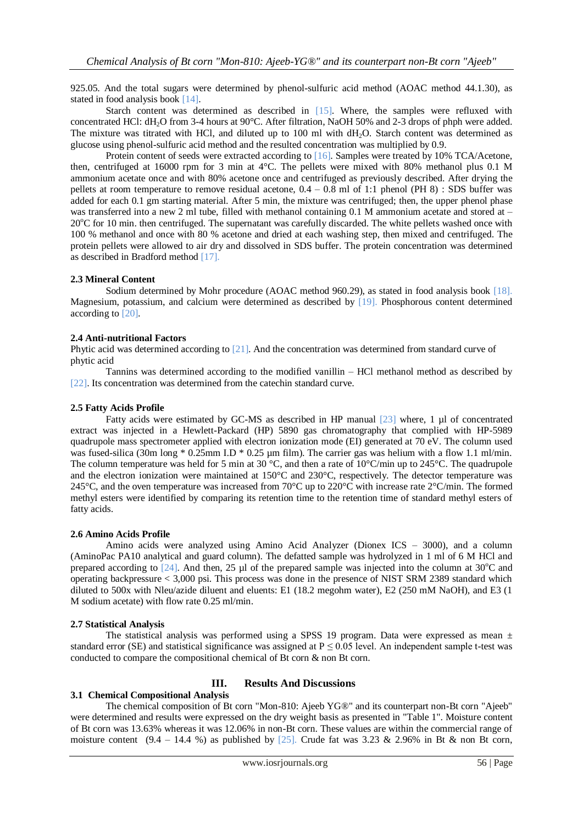925.05. And the total sugars were determined by phenol-sulfuric acid method (AOAC method 44.1.30), as stated in food analysis book [14].

Starch content was determined as described in [15]. Where, the samples were refluxed with concentrated HCl: dH<sub>2</sub>O from 3-4 hours at 90°C. After filtration, NaOH 50% and 2-3 drops of phph were added. The mixture was titrated with HCl, and diluted up to 100 ml with dH2O. Starch content was determined as glucose using phenol-sulfuric acid method and the resulted concentration was multiplied by 0.9.

Protein content of seeds were extracted according to [16]. Samples were treated by 10% TCA/Acetone, then, centrifuged at 16000 rpm for 3 min at 4°C. The pellets were mixed with 80% methanol plus 0.1 M ammonium acetate once and with 80% acetone once and centrifuged as previously described. After drying the pellets at room temperature to remove residual acetone,  $0.4 - 0.8$  ml of 1:1 phenol (PH 8) : SDS buffer was added for each 0.1 gm starting material. After 5 min, the mixture was centrifuged; then, the upper phenol phase was transferred into a new 2 ml tube, filled with methanol containing 0.1 M ammonium acetate and stored at – 20<sup>o</sup>C for 10 min. then centrifuged. The supernatant was carefully discarded. The white pellets washed once with 100 % methanol and once with 80 % acetone and dried at each washing step, then mixed and centrifuged. The protein pellets were allowed to air dry and dissolved in SDS buffer. The protein concentration was determined as described in Bradford method [17].

### **2.3 Mineral Content**

Sodium determined by Mohr procedure (AOAC method 960.29), as stated in food analysis book [18]. Magnesium, potassium, and calcium were determined as described by [19]. Phosphorous content determined according to [20].

### **2.4 Anti-nutritional Factors**

Phytic acid was determined according to [21]. And the concentration was determined from standard curve of phytic acid

Tannins was determined according to the modified vanillin – HCl methanol method as described by [22]. Its concentration was determined from the catechin standard curve.

## **2.5 Fatty Acids Profile**

Fatty acids were estimated by GC-MS as described in HP manual  $[23]$  where, 1 µl of concentrated extract was injected in a Hewlett-Packard (HP) 5890 gas chromatography that complied with HP-5989 quadrupole mass spectrometer applied with electron ionization mode (EI) generated at 70 eV. The column used was fused-silica (30m long \* 0.25mm I.D \* 0.25 µm film). The carrier gas was helium with a flow 1.1 ml/min. The column temperature was held for 5 min at 30 °C, and then a rate of 10°C/min up to 245°C. The quadrupole and the electron ionization were maintained at 150°C and 230°C, respectively. The detector temperature was 245°C, and the oven temperature was increased from 70°C up to 220°C with increase rate 2°C/min. The formed methyl esters were identified by comparing its retention time to the retention time of standard methyl esters of fatty acids.

### **2.6 Amino Acids Profile**

Amino acids were analyzed using Amino Acid Analyzer (Dionex ICS – 3000), and a column (AminoPac PA10 analytical and guard column). The defatted sample was hydrolyzed in 1 ml of 6 M HCl and prepared according to  $[24]$ . And then, 25 µl of the prepared sample was injected into the column at 30 $^{\circ}$ C and operating backpressure < 3,000 psi. This process was done in the presence of NIST SRM 2389 standard which diluted to 500x with Nleu/azide diluent and eluents: E1 (18.2 megohm water), E2 (250 mM NaOH), and E3 (1 M sodium acetate) with flow rate 0.25 ml/min.

#### **2.7 Statistical Analysis**

The statistical analysis was performed using a SPSS 19 program. Data were expressed as mean  $\pm$ standard error (SE) and statistical significance was assigned at  $P \le 0.05$  level. An independent sample t-test was conducted to compare the compositional chemical of Bt corn & non Bt corn.

## **III. Results And Discussions**

## **3.1 Chemical Compositional Analysis**

The chemical composition of Bt corn "Mon-810: Ajeeb YG®" and its counterpart non-Bt corn "Ajeeb" were determined and results were expressed on the dry weight basis as presented in "Table 1". Moisture content of Bt corn was 13.63% whereas it was 12.06% in non-Bt corn. These values are within the commercial range of moisture content  $(9.4 - 14.4 \%)$  as published by [25]. Crude fat was 3.23 & 2.96% in Bt & non Bt corn,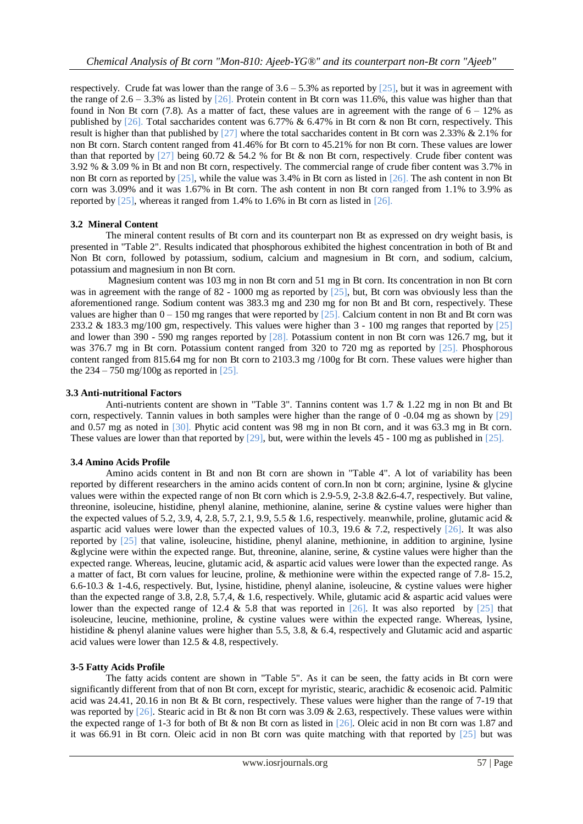respectively. Crude fat was lower than the range of  $3.6 - 5.3\%$  as reported by [25], but it was in agreement with the range of  $2.6 - 3.3\%$  as listed by [26]. Protein content in Bt corn was 11.6%, this value was higher than that found in Non Bt corn  $(7.8)$ . As a matter of fact, these values are in agreement with the range of  $6 - 12\%$  as published by [26]. Total saccharides content was 6.77% & 6.47% in Bt corn & non Bt corn, respectively. This result is higher than that published by [27] where the total saccharides content in Bt corn was 2.33% & 2.1% for non Bt corn. Starch content ranged from 41.46% for Bt corn to 45.21% for non Bt corn. These values are lower than that reported by  $[27]$  being 60.72 & 54.2 % for Bt & non Bt corn, respectively. Crude fiber content was 3.92 % & 3.09 % in Bt and non Bt corn, respectively. The commercial range of crude fiber content was 3.7% in non Bt corn as reported by  $[25]$ , while the value was 3.4% in Bt corn as listed in  $[26]$ . The ash content in non Bt corn was 3.09% and it was 1.67% in Bt corn. The ash content in non Bt corn ranged from 1.1% to 3.9% as reported by [25], whereas it ranged from 1.4% to 1.6% in Bt corn as listed in [26].

## **3.2 Mineral Content**

The mineral content results of Bt corn and its counterpart non Bt as expressed on dry weight basis, is presented in "Table 2". Results indicated that phosphorous exhibited the highest concentration in both of Bt and Non Bt corn, followed by potassium, sodium, calcium and magnesium in Bt corn, and sodium, calcium, potassium and magnesium in non Bt corn.

Magnesium content was 103 mg in non Bt corn and 51 mg in Bt corn. Its concentration in non Bt corn was in agreement with the range of 82 - 1000 mg as reported by [25], but, Bt corn was obviously less than the aforementioned range. Sodium content was 383.3 mg and 230 mg for non Bt and Bt corn, respectively. These values are higher than 0 – 150 mg ranges that were reported by [25]. Calcium content in non Bt and Bt corn was 233.2 & 183.3 mg/100 gm, respectively. This values were higher than 3 - 100 mg ranges that reported by [25] and lower than 390 - 590 mg ranges reported by [28]. Potassium content in non Bt corn was 126.7 mg, but it was 376.7 mg in Bt corn. Potassium content ranged from 320 to 720 mg as reported by [25]. Phosphorous content ranged from 815.64 mg for non Bt corn to 2103.3 mg /100g for Bt corn. These values were higher than the  $234 - 750 \text{ mg}/100 \text{g}$  as reported in [25].

# **3.3 Anti-nutritional Factors**

Anti-nutrients content are shown in "Table 3". Tannins content was 1.7 & 1.22 mg in non Bt and Bt corn, respectively. Tannin values in both samples were higher than the range of  $0 -0.04$  mg as shown by [29] and 0.57 mg as noted in [30]. Phytic acid content was 98 mg in non Bt corn, and it was 63.3 mg in Bt corn. These values are lower than that reported by [29], but, were within the levels 45 - 100 mg as published in [25].

## **3.4 Amino Acids Profile**

Amino acids content in Bt and non Bt corn are shown in "Table 4". A lot of variability has been reported by different researchers in the amino acids content of corn.In non bt corn; arginine, lysine & glycine values were within the expected range of non Bt corn which is 2.9-5.9, 2-3.8 &2.6-4.7, respectively. But valine, threonine, isoleucine, histidine, phenyl alanine, methionine, alanine, serine & cystine values were higher than the expected values of 5.2, 3.9, 4, 2.8, 5.7, 2.1, 9.9, 5.5  $&$  1.6, respectively. meanwhile, proline, glutamic acid  $&$ aspartic acid values were lower than the expected values of 10.3, 19.6 & 7.2, respectively  $\lceil 26 \rceil$ . It was also reported by [25] that valine, isoleucine, histidine, phenyl alanine, methionine, in addition to arginine, lysine &glycine were within the expected range. But, threonine, alanine, serine, & cystine values were higher than the expected range. Whereas, leucine, glutamic acid, & aspartic acid values were lower than the expected range. As a matter of fact, Bt corn values for leucine, proline, & methionine were within the expected range of 7.8- 15.2, 6.6-10.3 & 1-4.6, respectively. But, lysine, histidine, phenyl alanine, isoleucine, & cystine values were higher than the expected range of 3.8, 2.8, 5.7,4, & 1.6, respectively. While, glutamic acid & aspartic acid values were lower than the expected range of 12.4  $\&$  5.8 that was reported in [26]. It was also reported by [25] that isoleucine, leucine, methionine, proline, & cystine values were within the expected range. Whereas, lysine, histidine & phenyl alanine values were higher than 5.5, 3.8, & 6.4, respectively and Glutamic acid and aspartic acid values were lower than 12.5 & 4.8, respectively.

## **3-5 Fatty Acids Profile**

The fatty acids content are shown in "Table 5". As it can be seen, the fatty acids in Bt corn were significantly different from that of non Bt corn, except for myristic, stearic, arachidic & ecosenoic acid. Palmitic acid was 24.41, 20.16 in non Bt & Bt corn, respectively. These values were higher than the range of 7-19 that was reported by [26]. Stearic acid in Bt & non Bt corn was 3.09 & 2.63, respectively. These values were within the expected range of 1-3 for both of Bt & non Bt corn as listed in [26]. Oleic acid in non Bt corn was 1.87 and it was 66.91 in Bt corn. Oleic acid in non Bt corn was quite matching with that reported by [25] but was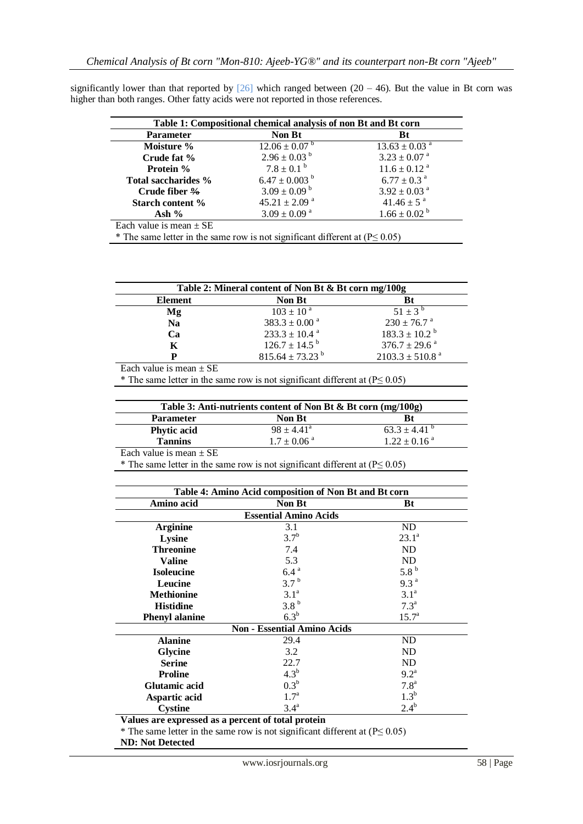| significantly lower than that reported by [26] which ranged between (20 – 46). But the value in Bt corn was |  |  |  |  |  |
|-------------------------------------------------------------------------------------------------------------|--|--|--|--|--|
| higher than both ranges. Other fatty acids were not reported in those references.                           |  |  |  |  |  |

| Table 1: Compositional chemical analysis of non Bt and Bt corn |                               |                               |  |
|----------------------------------------------------------------|-------------------------------|-------------------------------|--|
| <b>Parameter</b>                                               | <b>Non Bt</b>                 | Bt                            |  |
| Moisture %                                                     | $12.06 \pm 0.07$ <sup>b</sup> | $13.63 \pm 0.03$ <sup>a</sup> |  |
| Crude fat %                                                    | $2.96 \pm 0.03^{b}$           | $3.23 \pm 0.07$ <sup>a</sup>  |  |
| Protein %                                                      | $7.8 \pm 0.1^{\text{b}}$      | $11.6 \pm 0.12$ <sup>a</sup>  |  |
| Total saccharides %                                            | $6.47 \pm 0.003$ <sup>b</sup> | $6.77 \pm 0.3$ <sup>a</sup>   |  |
| Crude fiber $\frac{9}{6}$                                      | $3.09 \pm 0.09^{\text{ b}}$   | $3.92 \pm 0.03$ <sup>a</sup>  |  |
| <b>Starch content %</b>                                        | $45.21 \pm 2.09$ <sup>a</sup> | $41.46 \pm 5^{a}$             |  |
| Ash $%$                                                        | $3.09 \pm 0.09$ <sup>a</sup>  | $1.66 \pm 0.02^{\text{ b}}$   |  |
| Each value is mean $\pm$ SE                                    |                               |                               |  |
|                                                                |                               |                               |  |

\* The same letter in the same row is not significant different at  $(P \le 0.05)$ 

|                | Table 2: Mineral content of Non Bt & Bt corn mg/100g |                                 |  |  |
|----------------|------------------------------------------------------|---------------------------------|--|--|
| <b>Element</b> | <b>Non Bt</b>                                        | Bt                              |  |  |
| Mg             | $103 \pm 10^{a}$                                     | $51 \pm 3^{b}$                  |  |  |
| <b>Na</b>      | $383.3 \pm 0.00^{\text{ a}}$                         | $230 \pm 76.7$ <sup>a</sup>     |  |  |
| Cа             | $233.3 \pm 10.4$ <sup>a</sup>                        | $183.3 \pm 10.2^{\text{b}}$     |  |  |
| K              | $126.7 \pm 14.5^{\mathrm{b}}$                        | $376.7 \pm 29.6$ <sup>a</sup>   |  |  |
| D              | $815.64 \pm 73.23$ <sup>b</sup>                      | $2103.3 \pm 510.8$ <sup>a</sup> |  |  |

Each value is mean  $\pm$  SE

\* The same letter in the same row is not significant different at ( $P \le 0.05$ )

|                    | Table 3: Anti-nutrients content of Non Bt & Bt corn $(mg/100g)$ |                              |  |  |
|--------------------|-----------------------------------------------------------------|------------------------------|--|--|
| <b>Parameter</b>   | <b>Non Bt</b>                                                   | Bt                           |  |  |
| <b>Phytic acid</b> | $98 \pm 4.41^{\circ}$                                           | $63.3 \pm 4.41$ <sup>b</sup> |  |  |
| <b>Tannins</b>     | $1.7 \pm 0.06$ <sup>a</sup>                                     | $1.22 \pm 0.16$ <sup>a</sup> |  |  |

Each value is mean  $\pm$  SE

\* The same letter in the same row is not significant different at ( $P \le 0.05$ )

|                       | Table 4: Amino Acid composition of Non Bt and Bt corn |                  |
|-----------------------|-------------------------------------------------------|------------------|
| Amino acid            | <b>Non Bt</b>                                         | Bt               |
|                       | <b>Essential Amino Acids</b>                          |                  |
| <b>Arginine</b>       | 3.1                                                   | ND               |
| Lysine                | $3.7^{b}$                                             | $23.1^a$         |
| <b>Threonine</b>      | 7.4                                                   | ND               |
| <b>Valine</b>         | 5.3                                                   | ND               |
| <b>Isoleucine</b>     | 6.4 <sup>a</sup>                                      | 5.8 <sup>b</sup> |
| Leucine               | 3.7 <sup>b</sup>                                      | 9.3 <sup>a</sup> |
| <b>Methionine</b>     | 3.1 <sup>a</sup>                                      | 3.1 <sup>a</sup> |
| <b>Histidine</b>      | 3.8 <sup>b</sup>                                      | 7.3 <sup>a</sup> |
| <b>Phenyl alanine</b> | $6.3^b$                                               | $15.7^{\circ}$   |
|                       | <b>Non - Essential Amino Acids</b>                    |                  |
| <b>Alanine</b>        | 29.4                                                  | ND               |
| <b>Glycine</b>        | 3.2                                                   | ND               |
| <b>Serine</b>         | 22.7                                                  | ND               |
| <b>Proline</b>        | 4.3 <sup>b</sup>                                      | $9.2^{\text{a}}$ |
| <b>Glutamic acid</b>  | 0.3 <sup>b</sup>                                      | 7.8 <sup>a</sup> |
| Aspartic acid         | 1.7 <sup>a</sup>                                      | 1.3 <sup>b</sup> |
| <b>Cystine</b>        | 3.4 <sup>a</sup>                                      | $2.4^{b}$        |

**Values are expressed as a percent of total protein**

\* The same letter in the same row is not significant different at ( $P \le 0.05$ )

**ND: Not Detected**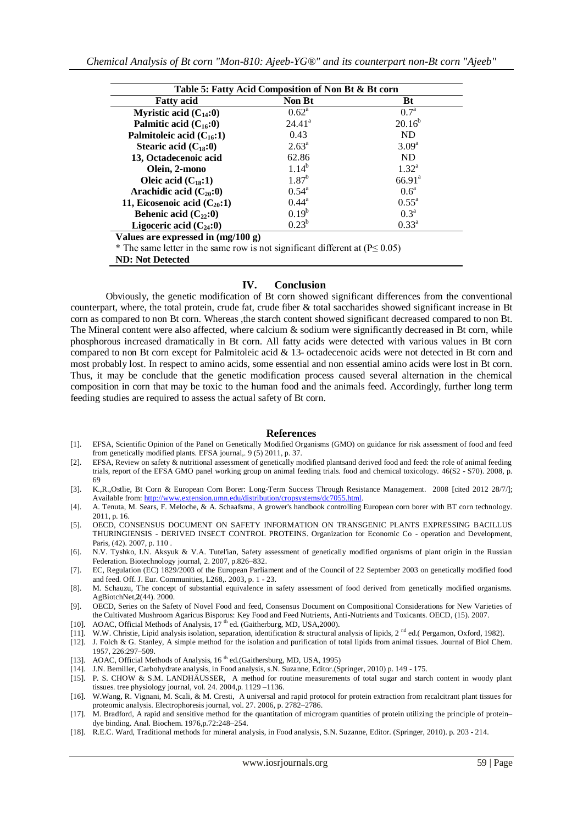| Table 5: Fatty Acid Composition of Non Bt & Bt corn |                    |                   |  |
|-----------------------------------------------------|--------------------|-------------------|--|
| <b>Fatty acid</b>                                   | <b>Non Bt</b>      | Bt                |  |
| Myristic acid $(C_{14}:0)$                          | $0.62^{\rm a}$     | 0.7 <sup>a</sup>  |  |
| Palmitic acid $(C_{16}:0)$                          | 24.41 <sup>a</sup> | $20.16^{b}$       |  |
| Palmitoleic acid $(C_{16}:1)$                       | 0.43               | <b>ND</b>         |  |
| Stearic acid $(C_{18}:0)$                           | $2.63^{\rm a}$     | 3.09 <sup>a</sup> |  |
| 13, Octadecenoic acid                               | 62.86              | <b>ND</b>         |  |
| Olein, 2-mono                                       | $1.14^{b}$         | $1.32^{\rm a}$    |  |
| Oleic acid $(C_{18}:1)$                             | $1.87^{b}$         | $66.91^{\circ}$   |  |
| Arachidic acid $(C_{20}:0)$                         | $0.54^{\rm a}$     | 0.6 <sup>a</sup>  |  |
| 11, Eicosenoic acid $(C_{20}:1)$                    | $0.44^{\rm a}$     | $0.55^{\rm a}$    |  |
| Behenic acid $(C_{22}:0)$                           | $0.19^b$           | 0.3 <sup>a</sup>  |  |
| Ligoceric acid $(C_{24}:0)$                         | $0.23^b$           | $0.33^{\rm a}$    |  |

**Values are expressed in (mg/100 g)**

\* The same letter in the same row is not significant different at ( $P \le 0.05$ )

**ND: Not Detected**

#### **IV. Conclusion**

Obviously, the genetic modification of Bt corn showed significant differences from the conventional counterpart, where, the total protein, crude fat, crude fiber & total saccharides showed significant increase in Bt corn as compared to non Bt corn. Whereas ,the starch content showed significant decreased compared to non Bt. The Mineral content were also affected, where calcium & sodium were significantly decreased in Bt corn, while phosphorous increased dramatically in Bt corn. All fatty acids were detected with various values in Bt corn compared to non Bt corn except for Palmitoleic acid & 13- octadecenoic acids were not detected in Bt corn and most probably lost. In respect to amino acids, some essential and non essential amino acids were lost in Bt corn. Thus, it may be conclude that the genetic modification process caused several alternation in the chemical composition in corn that may be toxic to the human food and the animals feed. Accordingly, further long term feeding studies are required to assess the actual safety of Bt corn.

#### **References**

- [1]. EFSA, Scientific Opinion of the Panel on Genetically Modified Organisms (GMO) on guidance for risk assessment of food and feed from genetically modified plants. EFSA journal,. 9 (5) 2011, p. 37.
- [2]. EFSA, Review on safety & nutritional assessment of genetically modified plantsand derived food and feed: the role of animal feeding trials, report of the EFSA GMO panel working group on animal feeding trials. food and chemical toxicology. 46(S2 - S70). 2008, p. 69
- [3]. K.,R.,Ostlie, Bt Corn & European Corn Borer: Long-Term Success Through Resistance Management. 2008 [cited 2012 28/7/]; Available from[: http://www.extension.umn.edu/distribution/cropsystems/dc7055.html.](http://www.extension.umn.edu/distribution/cropsystems/dc7055.html)
- [4]. A. Tenuta, M. Sears, F. Meloche, & A. Schaafsma, A grower's handbook controlling European corn borer with BT corn technology. 2011, p. 16.
- [5]. OECD, CONSENSUS DOCUMENT ON SAFETY INFORMATION ON TRANSGENIC PLANTS EXPRESSING BACILLUS THURINGIENSIS - DERIVED INSECT CONTROL PROTEINS. Organization for Economic Co - operation and Development, Paris, (42). 2007, p. 110 .
- [6]. N.V. Tyshko, I.N. Aksyuk & V.A. Tutel'ian, Safety assessment of genetically modified organisms of plant origin in the Russian Federation. Biotechnology journal, 2. 2007, p.826–832.
- [7]. EC, Regulation (EC) 1829/2003 of the European Parliament and of the Council of 22 September 2003 on genetically modified food and feed. Off. J. Eur. Communities, L268,. 2003, p. 1 - 23.
- [8]. M. Schauzu, The concept of substantial equivalence in safety assessment of food derived from genetically modified organisms. AgBiotchNet,**2**(44). 2000.
- [9]. OECD, Series on the Safety of Novel Food and feed, Consensus Document on Compositional Considerations for New Varieties of the Cultivated Mushroom Agaricus Bisporus: Key Food and Feed Nutrients, Anti-Nutrients and Toxicants. OECD, (15). 2007.
- [10]. AOAC, Official Methods of Analysis,  $17<sup>th</sup>$  ed. (Gaitherburg, MD, USA, 2000).
- [11]. W.W. Christie, Lipid analysis isolation, separation, identification & structural analysis of lipids, 2<sup>nd</sup> ed.( Pergamon, Oxford, 1982).
- [12]. J. Folch & G. Stanley, A simple method for the isolation and purification of total lipids from animal tissues. Journal of Biol Chem. 1957, 226:297–509.
- [13]. AOAC, Official Methods of Analysis, 16<sup>th</sup> ed.(Gaithersburg, MD, USA, 1995)
- [14]. J.N. Bemiller, Carbohydrate analysis, in Food analysis, s.N. Suzanne, Editor.(Springer, 2010) p. 149 175.
- [15]. P. S. CHOW & S.M. LANDHÄUSSER, A method for routine measurements of total sugar and starch content in woody plant tissues. tree physiology journal, vol. 24. 2004,p. 1129 –1136.
- [16]. W.Wang, R. Vignani, M. Scali, & M. Cresti, A universal and rapid protocol for protein extraction from recalcitrant plant tissues for proteomic analysis. Electrophoresis journal, vol. 27. 2006, p. 2782–2786.
- [17]. M. Bradford, A rapid and sensitive method for the quantitation of microgram quantities of protein utilizing the principle of protein– dye binding. Anal. Biochem. 1976,p.72:248–254.
- [18]. R.E.C. Ward, Traditional methods for mineral analysis, in Food analysis, S.N. Suzanne, Editor. (Springer, 2010). p. 203 214.